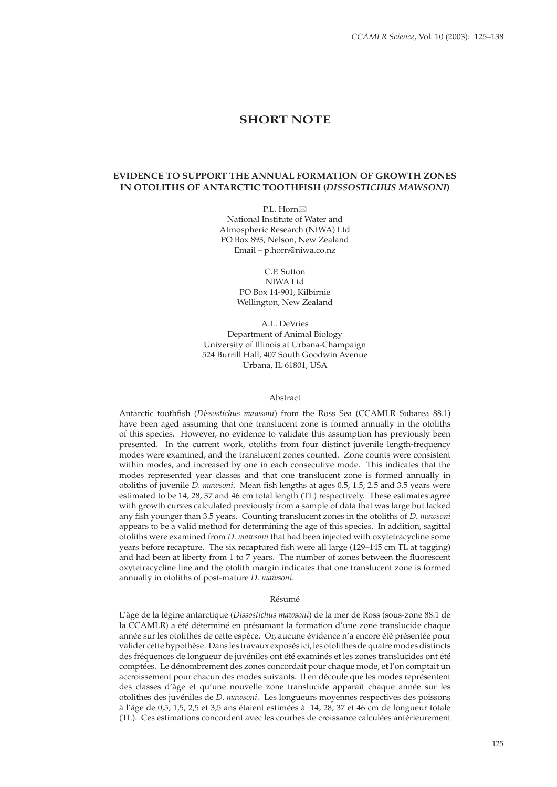# **SHORT NOTE**

# **EVIDENCE TO SUPPORT THE ANNUAL FORMATION OF GROWTH ZONES IN OTOLITHS OF ANTARCTIC TOOTHFISH (***DISSOSTICHUS MAWSONI***)**

P.L. Horn⊠ National Institute of Water and Atmospheric Research (NIWA) Ltd PO Box 893, Nelson, New Zealand Email – p.horn@niwa.co.nz

> C.P. Sutton NIWA Ltd PO Box 14-901, Kilbirnie Wellington, New Zealand

A.L. DeVries Department of Animal Biology University of Illinois at Urbana-Champaign 524 Burrill Hall, 407 South Goodwin Avenue Urbana, IL 61801, USA

#### Abstract

Antarctic toothfish (*Dissostichus mawsoni*) from the Ross Sea (CCAMLR Subarea 88.1) have been aged assuming that one translucent zone is formed annually in the otoliths of this species. However, no evidence to validate this assumption has previously been presented. In the current work, otoliths from four distinct juvenile length-frequency modes were examined, and the translucent zones counted. Zone counts were consistent within modes, and increased by one in each consecutive mode. This indicates that the modes represented year classes and that one translucent zone is formed annually in otoliths of juvenile *D. mawsoni*. Mean fish lengths at ages 0.5, 1.5, 2.5 and 3.5 years were estimated to be 14, 28, 37 and 46 cm total length (TL) respectively. These estimates agree with growth curves calculated previously from a sample of data that was large but lacked any fish younger than 3.5 years. Counting translucent zones in the otoliths of *D. mawsoni* appears to be a valid method for determining the age of this species. In addition, sagittal otoliths were examined from *D. mawsoni* that had been injected with oxytetracycline some years before recapture. The six recaptured fish were all large (129–145 cm TL at tagging) and had been at liberty from 1 to 7 years. The number of zones between the fluorescent oxytetracycline line and the otolith margin indicates that one translucent zone is formed annually in otoliths of post-mature *D. mawsoni*.

### Résumé

L'âge de la légine antarctique (*Dissostichus mawsoni*) de la mer de Ross (sous-zone 88.1 de la CCAMLR) a été déterminé en présumant la formation d'une zone translucide chaque année sur les otolithes de cette espèce. Or, aucune évidence n'a encore été présentée pour valider cette hypothèse. Dans les travaux exposés ici, les otolithes de quatre modes distincts des fréquences de longueur de juvéniles ont été examinés et les zones translucides ont été comptées. Le dénombrement des zones concordait pour chaque mode, et l'on comptait un accroissement pour chacun des modes suivants. Il en découle que les modes représentent des classes d'âge et qu'une nouvelle zone translucide apparaît chaque année sur les otolithes des juvéniles de *D. mawsoni*. Les longueurs moyennes respectives des poissons à l'âge de 0,5, 1,5, 2,5 et 3,5 ans étaient estimées à 14, 28, 37 et 46 cm de longueur totale (TL). Ces estimations concordent avec les courbes de croissance calculées antérieurement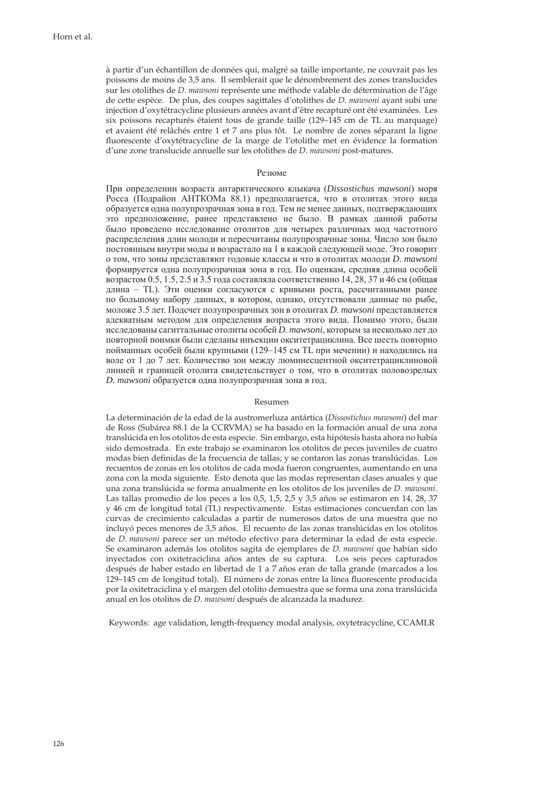à partir d'un échantillon de données qui, malgré sa taille importante, ne couvrait pas les poissons de moins de 3,5 ans. Il semblerait que le dénombrement des zones translucides sur les otolithes de *D. mawsoni* représente une méthode valable de détermination de l'âge de cette espèce. De plus, des coupes sagittales d'otolithes de *D. mawsoni* ayant subi une injection d'oxytétracycline plusieurs années avant d'être recapturé ont été examinées. Les six poissons recapturés étaient tous de grande taille (129–145 cm de TL au marquage) et avaient été relâchés entre 1 et 7 ans plus tôt. Le nombre de zones séparant la ligne fluorescente d'oxytétracycline de la marge de l'otolithe met en évidence la formation d'une zone translucide annuelle sur les otolithes de *D. mawsoni* post-matures.

#### Резюме

При определении возраста антарктического клыкача (*Dissostichus mawsoni*) моря Росса (Подрайон АНТКОМа 88.1) предполагается, что в отолитах этого вида образуется одна полупрозрачная зона в год. Тем не менее данных, подтверждающих это предположение, ранее представлено не было. В рамках данной работы было проведено исследование отолитов для четырех различных мод частотного распределения длин молоди и пересчитаны полупрозрачные зоны. Число зон было постоянным внутри моды и возрастало на 1 в каждой следующей моде. Это говорит о том, что зоны представляют годовые классы и что в отолитах молоди *D. mawsoni* формируется одна полупрозрачная зона в год. По оценкам, средняя длина особей возрастом 0.5, 1.5, 2.5 и 3.5 года составляла соответственно 14, 28, 37 и 46 см (общая длина – TL). Эти оценки согласуются с кривыми роста, рассчитанными ранее по большому набору данных, в котором, однако, отсутствовали данные по рыбе, моложе 3.5 лет. Подсчет полупрозрачных зон в отолитах *D. mawsoni* представляется адекватным методом для определения возраста этого вида. Помимо этого, были исследованы сагиттальные отолиты особей *D. mawsoni*, которым за несколько лет до повторной поимки были сделаны инъекции окситетрациклина. Все шесть повторно пойманных особей были крупными (129–145 см TL при мечении) и находились на воле от 1 до 7 лет. Количество зон между люминесцентной окситетрациклиновой линией и границей отолита свидетельствует о том, что в отолитах половозрелых *D. mawsoni* образуется одна полупрозрачная зона в год.

### Resumen

La determinación de la edad de la austromerluza antártica (*Dissostichus mawsoni*) del mar de Ross (Subárea 88.1 de la CCRVMA) se ha basado en la formación anual de una zona translúcida en los otolitos de esta especie. Sin embargo, esta hipótesis hasta ahora no había sido demostrada. En este trabajo se examinaron los otolitos de peces juveniles de cuatro modas bien definidas de la frecuencia de tallas; y se contaron las zonas translúcidas. Los recuentos de zonas en los otolitos de cada moda fueron congruentes, aumentando en una zona con la moda siguiente. Esto denota que las modas representan clases anuales y que una zona translúcida se forma anualmente en los otolitos de los juveniles de *D. mawsoni*. Las tallas promedio de los peces a los 0,5, 1,5, 2,5 y 3,5 años se estimaron en 14, 28, 37 y 46 cm de longitud total (TL) respectivamente. Estas estimaciones concuerdan con las curvas de crecimiento calculadas a partir de numerosos datos de una muestra que no incluyó peces menores de 3,5 años. El recuento de las zonas translúcidas en los otolitos de *D. mawsoni* parece ser un método efectivo para determinar la edad de esta especie. Se examinaron además los otolitos sagita de ejemplares de *D. mawsoni* que habían sido inyectados con oxitetraciclina años antes de su captura. Los seis peces capturados después de haber estado en libertad de 1 a 7 años eran de talla grande (marcados a los 129–145 cm de longitud total). El número de zonas entre la línea fluorescente producida por la oxitetraciclina y el margen del otolito demuestra que se forma una zona translúcida anual en los otolitos de *D. mawsoni* después de alcanzada la madurez.

Keywords: age validation, length-frequency modal analysis, oxytetracycline, CCAMLR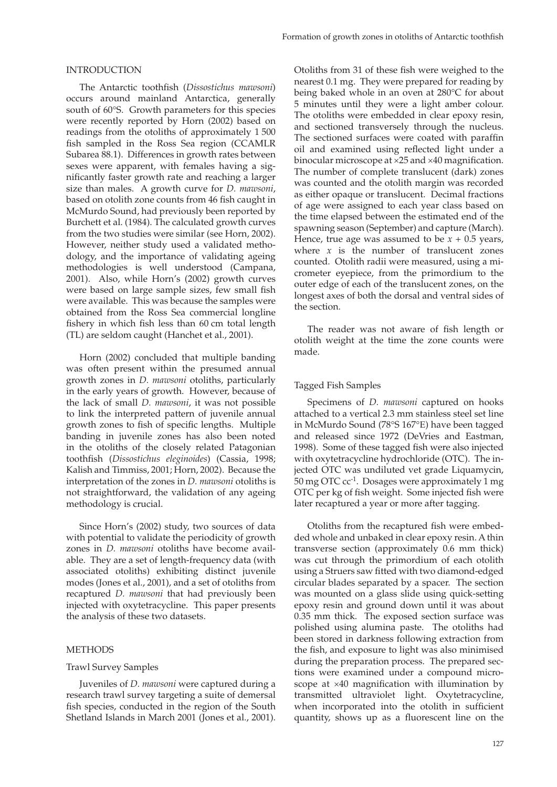### INTRODUCTION

The Antarctic toothfish (Dissostichus mawsoni) occurs around mainland Antarctica, generally south of 60°S. Growth parameters for this species were recently reported by Horn (2002) based on readings from the otoliths of approximately 1 500 fish sampled in the Ross Sea region (CCAMLR Subarea 88.1). Differences in growth rates between sexes were apparent, with females having a significantly faster growth rate and reaching a larger size than males. A growth curve for *D. mawsoni*, based on otolith zone counts from 46 fish caught in McMurdo Sound, had previously been reported by Burchett et al. (1984). The calculated growth curves from the two studies were similar (see Horn, 2002). However, neither study used a validated methodology, and the importance of validating ageing methodologies is well understood (Campana, 2001). Also, while Horn's (2002) growth curves were based on large sample sizes, few small fish were available. This was because the samples were obtained from the Ross Sea commercial longline fishery in which fish less than  $60 \text{ cm}$  total length (TL) are seldom caught (Hanchet et al., 2001).

Horn (2002) concluded that multiple banding was often present within the presumed annual growth zones in *D. mawsoni* otoliths, particularly in the early years of growth. However, because of the lack of small *D. mawsoni*, it was not possible to link the interpreted pattern of juvenile annual growth zones to fish of specific lengths. Multiple banding in juvenile zones has also been noted in the otoliths of the closely related Patagonian toothfish (Dissostichus eleginoides) (Cassia, 1998; Kalish and Timmiss, 2001; Horn, 2002). Because the interpretation of the zones in *D. mawsoni* otoliths is not straightforward, the validation of any ageing methodology is crucial.

Since Horn's (2002) study, two sources of data with potential to validate the periodicity of growth zones in *D. mawsoni* otoliths have become available. They are a set of length-frequency data (with associated otoliths) exhibiting distinct juvenile modes (Jones et al., 2001), and a set of otoliths from recaptured *D. mawsoni* that had previously been injected with oxytetracycline. This paper presents the analysis of these two datasets.

### **METHODS**

### Trawl Survey Samples

Juveniles of *D. mawsoni* were captured during a research trawl survey targeting a suite of demersal fish species, conducted in the region of the South Shetland Islands in March 2001 (Jones et al., 2001).

Otoliths from 31 of these fish were weighed to the nearest 0.1 mg. They were prepared for reading by being baked whole in an oven at 280°C for about 5 minutes until they were a light amber colour. The otoliths were embedded in clear epoxy resin, and sectioned transversely through the nucleus. The sectioned surfaces were coated with paraffin oil and examined using reflected light under a binocular microscope at  $\times 25$  and  $\times 40$  magnification. The number of complete translucent (dark) zones was counted and the otolith margin was recorded as either opaque or translucent. Decimal fractions of age were assigned to each year class based on the time elapsed between the estimated end of the spawning season (September) and capture (March). Hence, true age was assumed to be  $x + 0.5$  years, where  $x$  is the number of translucent zones counted. Otolith radii were measured, using a micrometer eyepiece, from the primordium to the outer edge of each of the translucent zones, on the longest axes of both the dorsal and ventral sides of the section.

The reader was not aware of fish length or otolith weight at the time the zone counts were made.

### Tagged Fish Samples

Specimens of *D. mawsoni* captured on hooks attached to a vertical 2.3 mm stainless steel set line in McMurdo Sound (78°S 167°Ε) have been tagged and released since 1972 (DeVries and Eastman, 1998). Some of these tagged fish were also injected with oxytetracycline hydrochloride (OTC). The injected OTC was undiluted vet grade Liquamycin, 50 mg OTC cc-1. Dosages were approximately 1 mg OTC per kg of fish weight. Some injected fish were later recaptured a year or more after tagging.

Otoliths from the recaptured fish were embedded whole and unbaked in clear epoxy resin. A thin transverse section (approximately 0.6 mm thick) was cut through the primordium of each otolith using a Struers saw fitted with two diamond-edged circular blades separated by a spacer. The section was mounted on a glass slide using quick-setting epoxy resin and ground down until it was about 0.35 mm thick. The exposed section surface was polished using alumina paste. The otoliths had been stored in darkness following extraction from the fish, and exposure to light was also minimised during the preparation process. The prepared sections were examined under a compound microscope at  $\times$ 40 magnification with illumination by transmitted ultraviolet light. Oxy tetracycline, when incorporated into the otolith in sufficient quantity, shows up as a fluorescent line on the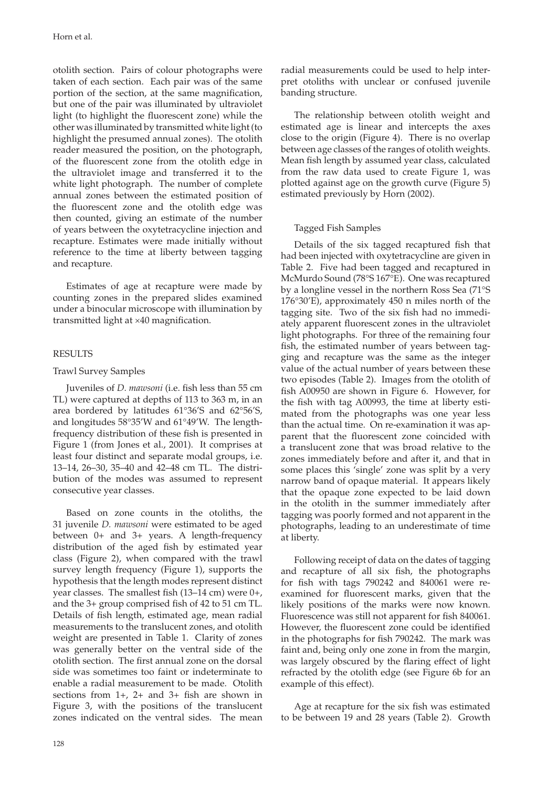otolith section. Pairs of colour photographs were taken of each section. Each pair was of the same portion of the section, at the same magnification, but one of the pair was illuminated by ultraviolet light (to highlight the fluorescent zone) while the other was illuminated by transmitted white light (to highlight the presumed annual zones). The otolith reader measured the position, on the photograph, of the fluorescent zone from the otolith edge in the ultraviolet image and transferred it to the white light photograph. The number of complete annual zones between the estimated position of the fluorescent zone and the otolith edge was then counted, giving an estimate of the number of years between the oxytetracycline injection and recapture. Estimates were made initially without reference to the time at liberty between tagging and recapture.

Estimates of age at recapture were made by counting zones in the prepared slides examined under a binocular microscope with illumination by transmitted light at  $\times$ 40 magnification.

# RESULTS

# Trawl Survey Samples

Juveniles of *D. mawsoni* (i.e. fish less than 55 cm TL) were captured at depths of 113 to 363 m, in an area bordered by latitudes 61°36'S and 62°56'S, and longitudes 58°35'W and 61°49'W. The lengthfrequency distribution of these fish is presented in Figure 1 (from Jones et al., 2001). It comprises at least four distinct and separate modal groups, i.e. 13–14, 26–30, 35–40 and 42–48 cm TL. The distribution of the modes was assumed to represent consecutive year classes.

Based on zone counts in the otoliths, the 31 juvenile *D. mawsoni* were estimated to be aged between 0+ and 3+ years. A length-frequency distribution of the aged fish by estimated year class (Figure 2), when compared with the trawl survey length frequency (Figure 1), supports the hypothesis that the length modes represent distinct year classes. The smallest fish  $(13–14 \text{ cm})$  were  $0+$ , and the  $3+$  group comprised fish of  $42$  to  $51$  cm TL. Details of fish length, estimated age, mean radial measurements to the translucent zones, and otolith weight are presented in Table 1. Clarity of zones was generally better on the ventral side of the otolith section. The first annual zone on the dorsal side was sometimes too faint or indeterminate to enable a radial measurement to be made. Otolith sections from  $1+$ ,  $2+$  and  $3+$  fish are shown in Figure 3, with the positions of the translucent zones indicated on the ventral sides. The mean

radial measurements could be used to help interpret otoliths with unclear or confused juvenile banding structure.

The relationship between otolith weight and estimated age is linear and intercepts the axes close to the origin (Figure 4). There is no overlap between age classes of the ranges of otolith weights. Mean fish length by assumed year class, calculated from the raw data used to create Figure 1, was plotted against age on the growth curve (Figure 5) estimated previously by Horn (2002).

# Tagged Fish Samples

Details of the six tagged recaptured fish that had been injected with oxytetracycline are given in Table 2. Five had been tagged and recaptured in McMurdo Sound (78°S 167°Ε). One was recaptured by a longline vessel in the northern Ross Sea (71°S 176°30'E), approximately 450 n miles north of the tagging site. Two of the six fish had no immediately apparent fluorescent zones in the ultraviolet light photographs. For three of the remaining four fish, the estimated number of years between tagging and recapture was the same as the integer value of the actual number of years between these two episodes (Table 2). Images from the otolith of fish A00950 are shown in Figure 6. However, for the fish with tag A00993, the time at liberty estimated from the photographs was one year less than the actual time. On re-examination it was apparent that the fluorescent zone coincided with a translucent zone that was broad relative to the zones immediately before and after it, and that in some places this 'single' zone was split by a very narrow band of opaque material. It appears likely that the opaque zone expected to be laid down in the otolith in the summer immediately after tagging was poorly formed and not apparent in the photographs, leading to an underestimate of time at liberty.

Following receipt of data on the dates of tagging and recapture of all six fish, the photographs for fish with tags  $790242$  and  $840061$  were reexamined for fluorescent marks, given that the likely positions of the marks were now known. Fluorescence was still not apparent for fish 840061. However, the fluorescent zone could be identified in the photographs for fish 790242. The mark was faint and, being only one zone in from the margin, was largely obscured by the flaring effect of light refracted by the otolith edge (see Figure 6b for an example of this effect).

Age at recapture for the six fish was estimated to be between 19 and 28 years (Table 2). Growth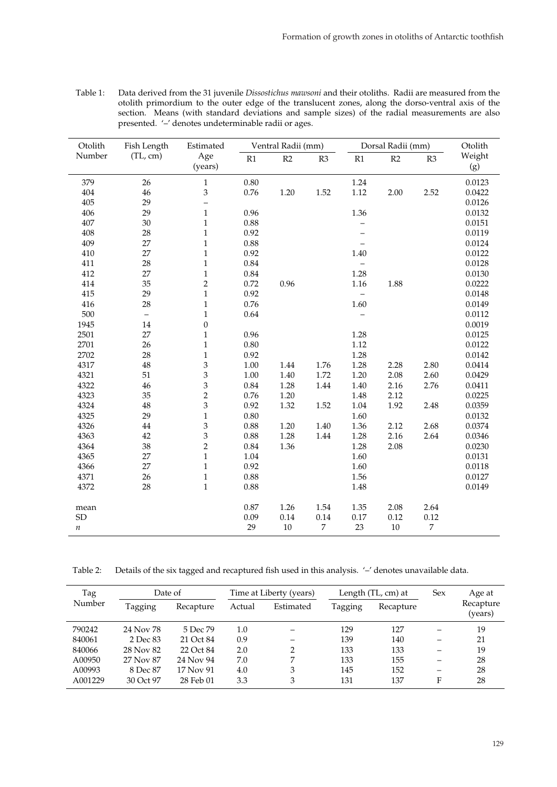| Table 1: | Data derived from the 31 juvenile Dissostichus mawsoni and their otoliths. Radii are measured from the |
|----------|--------------------------------------------------------------------------------------------------------|
|          | otolith primordium to the outer edge of the translucent zones, along the dorso-ventral axis of the     |
|          | section. Means (with standard deviations and sample sizes) of the radial measurements are also         |
|          | presented. '-' denotes undeterminable radii or ages.                                                   |

| Otolith    | Fish Length              | Estimated                | Ventral Radii (mm) |      |                | Dorsal Radii (mm)        | Otolith |      |               |
|------------|--------------------------|--------------------------|--------------------|------|----------------|--------------------------|---------|------|---------------|
| Number     | (TL, cm)                 | Age<br>(years)           | R1                 | R2   | R3             | $\mathbb{R}1$            | R2      | R3   | Weight<br>(g) |
| 379        | 26                       | $\mathbf{1}$             | 0.80               |      |                | 1.24                     |         |      | 0.0123        |
| 404        | 46                       | 3                        | 0.76               | 1.20 | 1.52           | 1.12                     | 2.00    | 2.52 | 0.0422        |
| 405        | 29                       | $\overline{\phantom{0}}$ |                    |      |                |                          |         |      | 0.0126        |
| 406        | 29                       | $\mathbf{1}$             | 0.96               |      |                | 1.36                     |         |      | 0.0132        |
| 407        | 30                       | $\,1\,$                  | 0.88               |      |                |                          |         |      | 0.0151        |
| 408        | 28                       | $\mathbf{1}$             | 0.92               |      |                |                          |         |      | 0.0119        |
| 409        | 27                       | $\,1\,$                  | 0.88               |      |                |                          |         |      | 0.0124        |
| 410        | 27                       | $\mathbf{1}$             | 0.92               |      |                | 1.40                     |         |      | 0.0122        |
| 411        | 28                       | $\,1\,$                  | 0.84               |      |                | $\overline{\phantom{0}}$ |         |      | 0.0128        |
| 412        | 27                       | $\,1\,$                  | 0.84               |      |                | 1.28                     |         |      | 0.0130        |
| 414        | 35                       | $\sqrt{2}$               | 0.72               | 0.96 |                | 1.16                     | 1.88    |      | 0.0222        |
| 415        | 29                       | $\mathbf{1}$             | 0.92               |      |                |                          |         |      | 0.0148        |
| 416        | 28                       | $\mathbf{1}$             | 0.76               |      |                | 1.60                     |         |      | 0.0149        |
| 500        | $\overline{\phantom{0}}$ | $\,1\,$                  | 0.64               |      |                |                          |         |      | 0.0112        |
| 1945       | 14                       | $\boldsymbol{0}$         |                    |      |                |                          |         |      | 0.0019        |
| 2501       | 27                       | $\,1\,$                  | 0.96               |      |                | 1.28                     |         |      | 0.0125        |
| 2701       | 26                       | $\,1\,$                  | 0.80               |      |                | 1.12                     |         |      | 0.0122        |
| 2702       | 28                       | $\,1\,$                  | 0.92               |      |                | 1.28                     |         |      | 0.0142        |
| 4317       | 48                       | $\mathfrak 3$            | 1.00               | 1.44 | 1.76           | 1.28                     | 2.28    | 2.80 | 0.0414        |
| 4321       | 51                       | 3                        | 1.00               | 1.40 | 1.72           | 1.20                     | 2.08    | 2.60 | 0.0429        |
| 4322       | 46                       | $\mathfrak{Z}$           | 0.84               | 1.28 | 1.44           | 1.40                     | 2.16    | 2.76 | 0.0411        |
| 4323       | 35                       | $\overline{c}$           | 0.76               | 1.20 |                | 1.48                     | 2.12    |      | 0.0225        |
| 4324       | 48                       | $\overline{3}$           | 0.92               | 1.32 | 1.52           | 1.04                     | 1.92    | 2.48 | 0.0359        |
| 4325       | 29                       | $\mathbf{1}$             | 0.80               |      |                | 1.60                     |         |      | 0.0132        |
| 4326       | 44                       | $\mathfrak{Z}$           | 0.88               | 1.20 | 1.40           | 1.36                     | 2.12    | 2.68 | 0.0374        |
| 4363       | 42                       | $\mathfrak 3$            | 0.88               | 1.28 | 1.44           | 1.28                     | 2.16    | 2.64 | 0.0346        |
| 4364       | 38                       | $\overline{c}$           | 0.84               | 1.36 |                | 1.28                     | 2.08    |      | 0.0230        |
| 4365       | 27                       | $\,1\,$                  | 1.04               |      |                | 1.60                     |         |      | 0.0131        |
| 4366       | 27                       | $\,1\,$                  | 0.92               |      |                | 1.60                     |         |      | 0.0118        |
| 4371       | 26                       | $\,1$                    | 0.88               |      |                | 1.56                     |         |      | 0.0127        |
| 4372       | 28                       | $\mathbf{1}$             | 0.88               |      |                | 1.48                     |         |      | 0.0149        |
| mean       |                          |                          | 0.87               | 1.26 | 1.54           | 1.35                     | 2.08    | 2.64 |               |
| ${\rm SD}$ |                          |                          | 0.09               | 0.14 | $0.14\,$       | $0.17\,$                 | 0.12    | 0.12 |               |
| п          |                          |                          | 29                 | 10   | $\overline{7}$ | 23                       | $10\,$  | 7    |               |

Table 2: Details of the six tagged and recaptured fish used in this analysis. '–' denotes unavailable data.

| Tag<br>Number | Date of   |           | Time at Liberty (years) |           |         | Length (TL, cm) at | <b>Sex</b>               | Age at               |
|---------------|-----------|-----------|-------------------------|-----------|---------|--------------------|--------------------------|----------------------|
|               | Tagging   | Recapture | Actual                  | Estimated | Tagging | Recapture          |                          | Recapture<br>(years) |
| 790242        | 24 Nov 78 | 5 Dec 79  | 1.0                     |           | 129     | 127                |                          | 19                   |
| 840061        | 2 Dec 83  | 21 Oct 84 | 0.9                     |           | 139     | 140                | -                        | 21                   |
| 840066        | 28 Nov 82 | 22 Oct 84 | 2.0                     | っ         | 133     | 133                |                          | 19                   |
| A00950        | 27 Nov 87 | 24 Nov 94 | 7.0                     | ⇁         | 133     | 155                | $\overline{\phantom{0}}$ | 28                   |
| A00993        | 8 Dec 87  | 17 Nov 91 | 4.0                     | 3         | 145     | 152                |                          | 28                   |
| A001229       | 30 Oct 97 | 28 Feb 01 | 3.3                     | 3         | 131     | 137                | F                        | 28                   |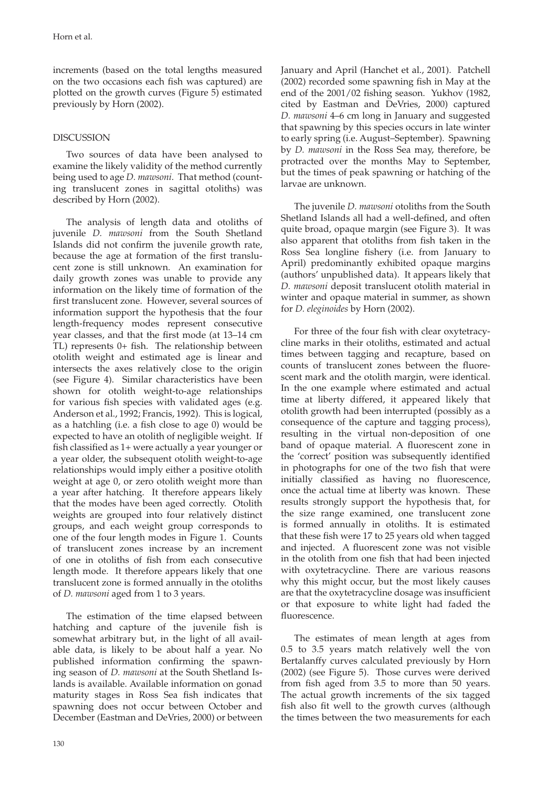increments (based on the total lengths measured on the two occasions each fish was captured) are plotted on the growth curves (Figure 5) estimated previously by Horn (2002).

# DISCUSSION

Two sources of data have been analysed to examine the likely validity of the method currently being used to age *D. mawsoni*. That method (counting translucent zones in sagittal otoliths) was described by Horn (2002).

The analysis of length data and otoliths of juvenile *D. mawsoni* from the South Shetland Islands did not confirm the juvenile growth rate, because the age at formation of the first translucent zone is still unknown. An examination for daily growth zones was unable to provide any information on the likely time of formation of the first translucent zone. However, several sources of information support the hypothesis that the four length-frequency modes represent consecutive year classes, and that the first mode (at 13-14 cm TL) represents  $0+$  fish. The relationship between otolith weight and estimated age is linear and intersects the axes relatively close to the origin (see Figure 4). Similar characteristics have been shown for otolith weight-to-age relationships for various fish species with validated ages (e.g. Anderson et al., 1992; Francis, 1992). This is logical, as a hatchling (i.e. a fish close to age  $0$ ) would be expected to have an otolith of negligible weight. If fish classified as 1+ were actually a year younger or a year older, the subsequent otolith weight-to-age relationships would imply either a positive otolith weight at age 0, or zero otolith weight more than a year after hatching. It therefore appears likely that the modes have been aged correctly. Otolith weights are grouped into four relatively distinct groups, and each weight group corresponds to one of the four length modes in Figure 1. Counts of translucent zones increase by an increment of one in otoliths of fish from each consecutive length mode. It therefore appears likely that one translucent zone is formed annually in the otoliths of *D. mawsoni* aged from 1 to 3 years.

The estimation of the time elapsed between hatching and capture of the juvenile fish is somewhat arbitrary but, in the light of all available data, is likely to be about half a year. No published information confirming the spawning season of *D. mawsoni* at the South Shetland Islands is available. Available information on gonad maturity stages in Ross Sea fish indicates that spawning does not occur between October and Decem ber (Eastman and DeVries, 2000) or between January and April (Hanchet et al., 2001). Patchell  $(2002)$  recorded some spawning fish in May at the end of the 2001/02 fishing season. Yukhov (1982, cited by Eastman and DeVries, 2000) captured *D. mawsoni* 4–6 cm long in January and suggested that spawning by this species occurs in late winter to early spring (i.e. August–September). Spawning by *D. mawsoni* in the Ross Sea may, therefore, be protracted over the months May to September, but the times of peak spawning or hatching of the larvae are unknown.

The juvenile *D. mawsoni* otoliths from the South Shetland Islands all had a well-defined, and often quite broad, opaque margin (see Figure 3). It was also apparent that otoliths from fish taken in the Ross Sea longline fishery (i.e. from January to April) predominantly exhibited opaque margins (authors' unpublished data). It appears likely that *D. mawsoni* deposit translucent otolith material in winter and opaque material in summer, as shown for *D. eleginoides* by Horn (2002).

For three of the four fish with clear oxytetracycline marks in their otoliths, estimated and actual times between tagging and recapture, based on counts of translucent zones between the fluorescent mark and the otolith margin, were identical. In the one example where estimated and actual time at liberty differed, it appeared likely that otolith growth had been interrupted (possibly as a consequence of the capture and tagging process), resulting in the virtual non-deposition of one band of opaque material. A fluorescent zone in the 'correct' position was subsequently identified in photographs for one of the two fish that were initially classified as having no fluorescence, once the actual time at liberty was known. These results strongly support the hypothesis that, for the size range examined, one translucent zone is formed annually in otoliths. It is estimated that these fish were 17 to 25 years old when tagged and injected. A fluorescent zone was not visible in the otolith from one fish that had been injected with oxytetracycline. There are various reasons why this might occur, but the most likely causes are that the oxytetracycline dosage was insufficient or that exposure to white light had faded the fluorescence.

The estimates of mean length at ages from 0.5 to 3.5 years match relatively well the von Bertalanffy curves calculated previously by Horn (2002) (see Figure 5). Those curves were derived from fish aged from 3.5 to more than 50 years. The actual growth increments of the six tagged fish also fit well to the growth curves (although the times between the two measurements for each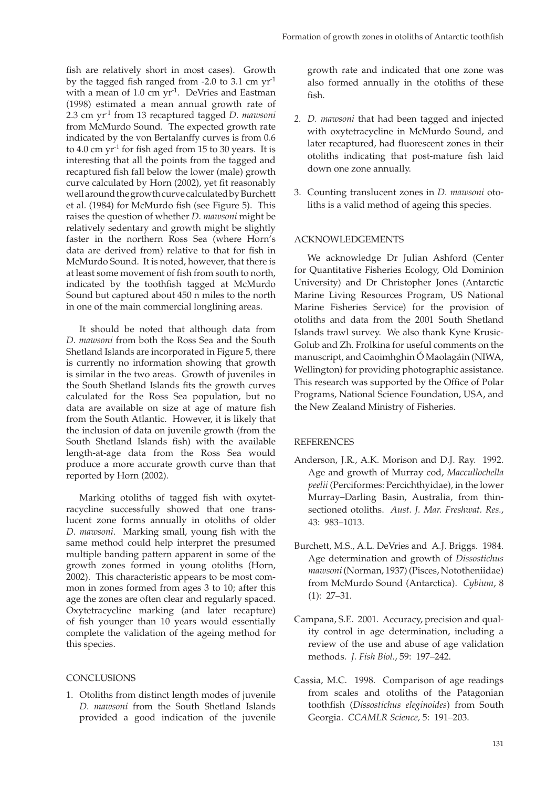fish are relatively short in most cases). Growth by the tagged fish ranged from -2.0 to 3.1 cm  $yr<sup>-1</sup>$ with a mean of 1.0 cm yr<sup>-1</sup>. DeVries and Eastman (1998) estimated a mean annual growth rate of 2.3 cm yr-1 from 13 recaptured tagged *D. mawsoni* from McMurdo Sound. The expected growth rate indicated by the von Bertalanffy curves is from 0.6 to 4.0 cm  $yr^{-1}$  for fish aged from 15 to 30 years. It is interesting that all the points from the tagged and recaptured fish fall below the lower (male) growth curve calculated by Horn (2002), yet fit reasonably well around the growth curve calculated by Burchett et al. (1984) for McMurdo fish (see Figure 5). This raises the question of whether *D. mawsoni* might be relatively sedentary and growth might be slightly faster in the northern Ross Sea (where Horn's data are derived from) relative to that for fish in McMurdo Sound. It is noted, however, that there is at least some movement of fish from south to north, indicated by the toothfish tagged at McMurdo Sound but captured about 450 n miles to the north in one of the main commercial longlining areas.

It should be noted that although data from *D. mawsoni* from both the Ross Sea and the South Shetland Islands are incorporated in Figure 5, there is currently no information showing that growth is similar in the two areas. Growth of juveniles in the South Shetland Islands fits the growth curves calculated for the Ross Sea population, but no data are available on size at age of mature fish from the South Atlantic. However, it is likely that the inclusion of data on juvenile growth (from the South Shetland Islands fish) with the available length-at-age data from the Ross Sea would produce a more accurate growth curve than that reported by Horn (2002).

Marking otoliths of tagged fish with oxytetracycline successfully showed that one translucent zone forms annually in otoliths of older *D. mawsoni.* Marking small, young fish with the same method could help interpret the presumed multiple banding pattern apparent in some of the growth zones formed in young otoliths (Horn, 2002). This characteristic appears to be most common in zones formed from ages 3 to 10; after this age the zones are often clear and regularly spaced. Oxytetracycline marking (and later recapture) of fish younger than 10 years would essentially complete the validation of the ageing method for this species.

# CONCLUSIONS

1. Otoliths from distinct length modes of juvenile *D. mawsoni* from the South Shetland Islands provided a good indication of the juvenile growth rate and indicated that one zone was also formed annually in the otoliths of these fish.

- 2. *D. mawsoni* that had been tagged and injected with oxytetracycline in McMurdo Sound, and later recaptured, had fluorescent zones in their otoliths indicating that post-mature fish laid down one zone annually.
- 3. Counting translucent zones in *D. mawsoni* otoliths is a valid method of ageing this species.

## ACKNOWLEDGEMENTS

We acknowledge Dr Julian Ashford (Center for Quantitative Fisheries Ecology, Old Dominion University) and Dr Christopher Jones (Antarctic Marine Living Resources Program, US National Marine Fisheries Service) for the provision of otoliths and data from the 2001 South Shetland Islands trawl survey. We also thank Kyne Krusic-Golub and Zh. Frolkina for useful comments on the manuscript, and Caoimhghin Ó Maolagáin (NIWA, Wellington) for providing photographic assistance. This research was supported by the Office of Polar Programs, National Science Foundation, USA, and the New Zealand Ministry of Fisheries.

### **REFERENCES**

- Anderson, J.R., A.K. Morison and D.J. Ray. 1992. Age and growth of Murray cod, *Maccullochella peelii* (Perciformes: Percichthyidae), in the lower Murray–Darling Basin, Australia, from thinsectioned otoliths. *Aust. J. Mar. Freshwat. Res.*, 43: 983–1013.
- Burchett, M.S., A.L. DeVries and A.J. Briggs. 1984. Age determination and growth of *Dissostichus mawsoni* (Norman, 1937) (Pisces, Nototheniidae) from McMurdo Sound (Antarctica). *Cybium*, 8 (1): 27–31.
- Campana, S.E. 2001. Accuracy, precision and quality control in age determination, including a review of the use and abuse of age validation methods. *J. Fish Biol.*, 59: 197–242.
- Cassia, M.C. 1998. Comparison of age readings from scales and otoliths of the Patagonian toothfish (Dissostichus eleginoides) from South Georgia. *CCAMLR Science,* 5: 191–203.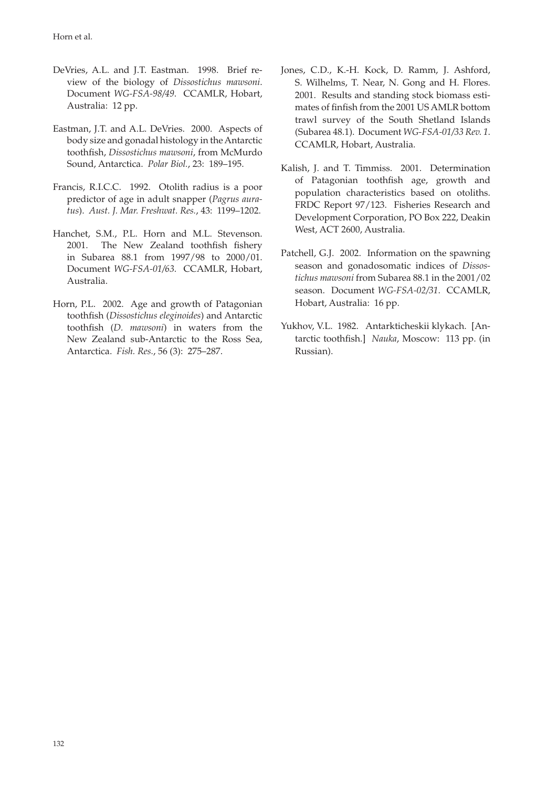- DeVries, A.L. and J.T. Eastman. 1998. Brief review of the biology of *Dissostichus mawsoni*. Document *WG-FSA-98/49*. CCAMLR, Hobart, Australia: 12 pp.
- Eastman, J.T. and A.L. DeVries. 2000. Aspects of body size and gonadal histology in the Antarctic toothfish, *Dissostichus mawsoni*, from McMurdo Sound, Antarctica. *Polar Biol.*, 23: 189–195.
- Francis, R.I.C.C. 1992. Otolith radius is a poor predictor of age in adult snapper (*Pagrus auratus*). *Aust. J. Mar. Freshwat. Res.*, 43: 1199–1202.
- Hanchet, S.M., P.L. Horn and M.L. Stevenson. 2001. The New Zealand toothfish fishery in Subarea 88.1 from 1997/98 to 2000/01. Document *WG-FSA-01/63*. CCAMLR, Hobart, Australia.
- Horn, P.L. 2002. Age and growth of Patagonian toothfish (*Dissostichus eleginoides*) and Antarctic toothfish (*D. mawsoni*) in waters from the New Zealand sub-Antarctic to the Ross Sea, Antarctica. *Fish. Res.*, 56 (3): 275–287.
- Jones, C.D., K.-H. Kock, D. Ramm, J. Ashford, S. Wilhelms, T. Near, N. Gong and H. Flores. 2001. Results and standing stock biomass estimates of finfish from the 2001 US AMLR bottom trawl survey of the South Shetland Islands (Subarea 48.1). Document *WG-FSA-01/33 Rev. 1*. CCAMLR, Hobart, Australia.
- Kalish, J. and T. Timmiss. 2001. Determination of Patagonian toothfish age, growth and population characteristics based on otoliths. FRDC Report 97/123. Fisheries Research and Development Corporation, PO Box 222, Deakin West, ACT 2600, Australia.
- Patchell, G.J. 2002. Information on the spawning season and gonadosomatic indices of *Dissostichus mawsoni* from Subarea 88.1 in the 2001/02 season. Document *WG-FSA-02/31*. CCAMLR, Hobart, Australia: 16 pp.
- Yukhov, V.L. 1982. Antarkticheskii klykach. [Antarctic toothfish.] *Nauka*, Moscow: 113 pp. (in Russian).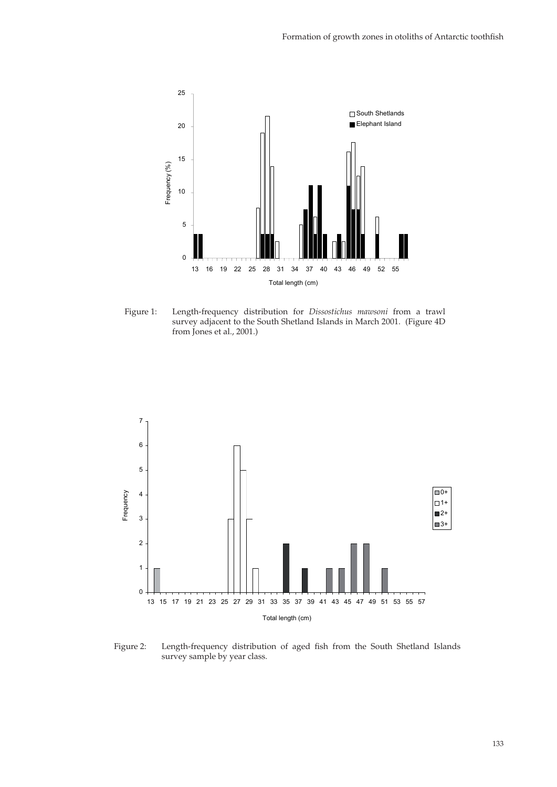

Figure 1: Length-frequency distribution for *Dissostichus mawsoni* from a trawl survey adjacent to the South Shetland Islands in March 2001. (Figure 4D from Jones et al., 2001.)



Figure 2: Length-frequency distribution of aged fish from the South Shetland Islands survey sample by year class.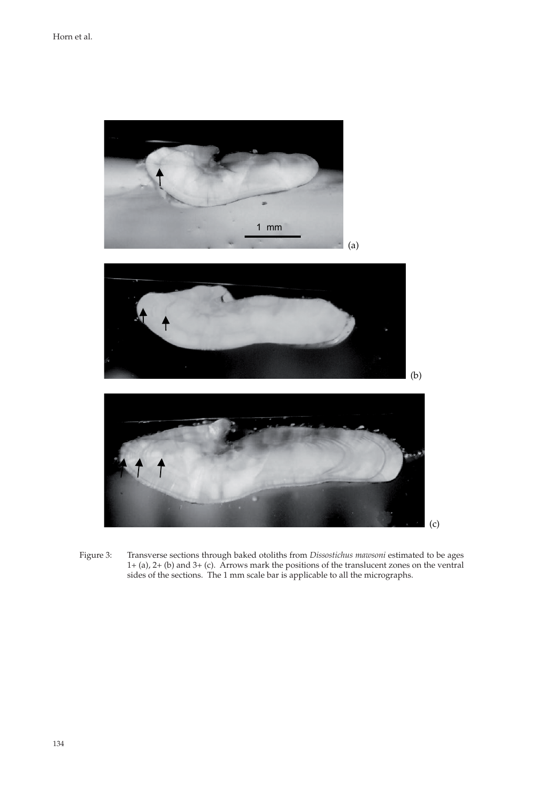

Figure 3: Transverse sections through baked otoliths from *Dissostichus mawsoni* estimated to be ages 1+ (a), 2+ (b) and 3+ (c). Arrows mark the positions of the translucent zones on the ventral sides of the sections. The 1 mm scale bar is applicable to all the micrographs.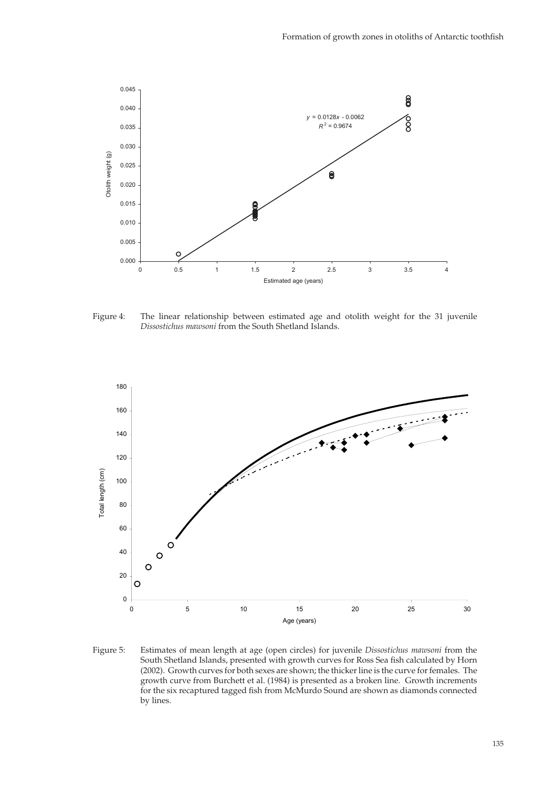

Figure 4: The linear relationship between estimated age and otolith weight for the 31 juvenile *Dissostichus mawsoni* from the South Shetland Islands.



Figure 5: Estimates of mean length at age (open circles) for juvenile *Dissostichus mawsoni* from the South Shetland Islands, presented with growth curves for Ross Sea fish calculated by Horn (2002). Growth curves for both sexes are shown; the thicker line is the curve for females. The growth curve from Burchett et al. (1984) is presented as a broken line. Growth increments for the six recaptured tagged fish from McMurdo Sound are shown as diamonds connected by lines.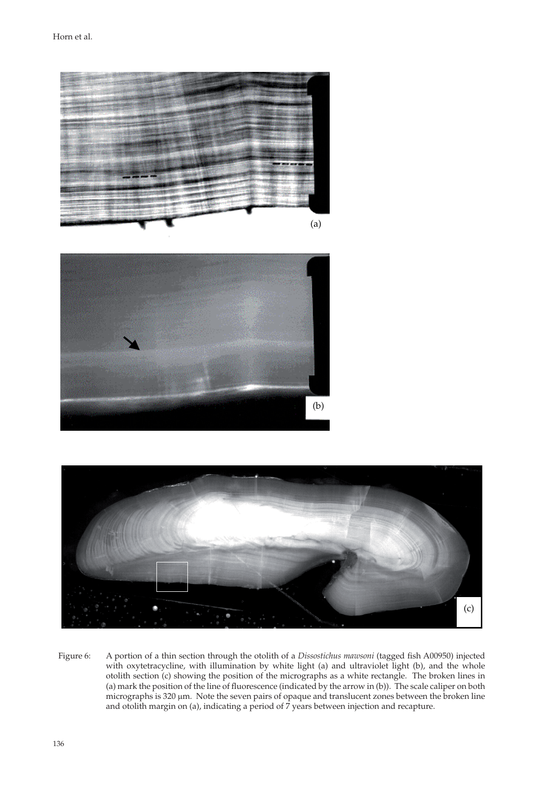





Figure 6: A portion of a thin section through the otolith of a *Dissostichus mawsoni* (tagged fish A00950) injected with oxytetracycline, with illumination by white light (a) and ultraviolet light (b), and the whole otolith section (c) showing the position of the micrographs as a white rectangle. The broken lines in (a) mark the position of the line of fluorescence (indicated by the arrow in (b)). The scale caliper on both micrographs is 320 μm. Note the seven pairs of opaque and translucent zones between the broken line and otolith margin on (a), indicating a period of 7 years between injection and recapture.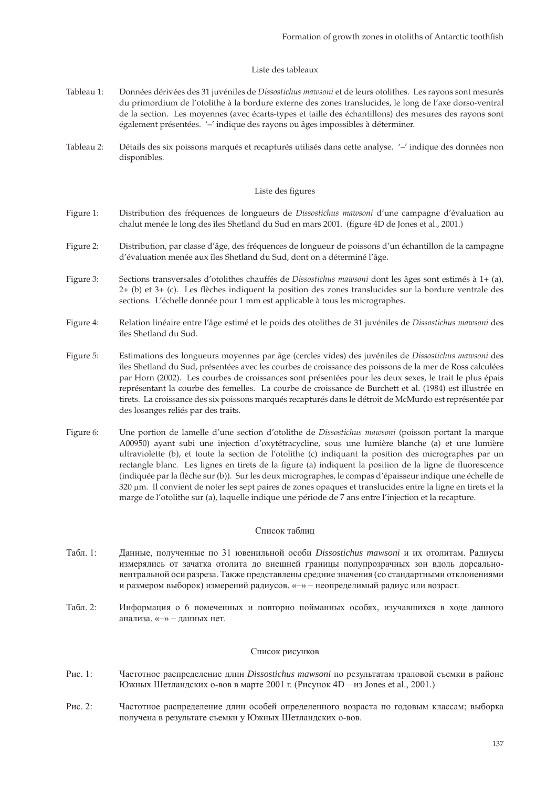### Liste des tableaux

- Tableau 1: Données dérivées des 31 juvéniles de *Dissostichus mawsoni* et de leurs otolithes. Les rayons sont mesurés du primordium de l'otolithe à la bordure externe des zones translucides, le long de l'axe dorso-ventral de la section. Les moyennes (avec écarts-types et taille des échantillons) des mesures des rayons sont également présentées. '–' indique des rayons ou âges impossibles à déterminer.
- Tableau 2: Détails des six poissons marqués et recapturés utilisés dans cette analyse. '–' indique des données non disponibles.

### Liste des figures

- Figure 1: Distribution des fréquences de longueurs de *Dissostichus mawsoni* d'une campagne d'évaluation au chalut menée le long des îles Shetland du Sud en mars 2001. (figure 4D de Jones et al., 2001.)
- Figure 2: Distribution, par classe d'âge, des fréquences de longueur de poissons d'un échantillon de la campagne d'évaluation menée aux îles Shetland du Sud, dont on a déterminé l'âge.
- Figure 3: Sections transversales d'otolithes chauffés de *Dissostichus mawsoni* dont les âges sont estimés à 1+ (a), 2+ (b) et 3+ (c). Les flèches indiquent la position des zones translucides sur la bordure ventrale des sections. L'échelle donnée pour 1 mm est applicable à tous les micrographes.
- Figure 4: Relation linéaire entre l'âge estimé et le poids des otolithes de 31 juvéniles de *Dissostichus mawsoni* des îles Shetland du Sud.
- Figure 5: Estimations des longueurs moyennes par âge (cercles vides) des juvéniles de *Dissostichus mawsoni* des îles Shetland du Sud, présentées avec les courbes de croissance des poissons de la mer de Ross calculées par Horn (2002). Les courbes de croissances sont présentées pour les deux sexes, le trait le plus épais représentant la courbe des femelles. La courbe de croissance de Burchett et al. (1984) est illustrée en tirets. La croissance des six poissons marqués recapturés dans le détroit de McMurdo est représentée par des losanges reliés par des traits.
- Figure 6: Une portion de lamelle d'une section d'otolithe de *Dissostichus mawsoni* (poisson portant la marque A00950) ayant subi une injection d'oxytétracycline, sous une lumière blanche (a) et une lumière ultraviolette (b), et toute la section de l'otolithe (c) indiquant la position des micrographes par un rectangle blanc. Les lignes en tirets de la figure (a) indiquent la position de la ligne de fluorescence (indiquée par la flèche sur (b)). Sur les deux micrographes, le compas d'épaisseur indique une échelle de 320 μm. Il convient de noter les sept paires de zones opaques et translucides entre la ligne en tirets et la marge de l'otolithe sur (a), laquelle indique une période de 7 ans entre l'injection et la recapture.

### Список таблиц

- Табл. 1: Данные, полученные по 31 ювенильной особи *Dissostichus mawsoni* и их отолитам. Радиусы измерялись от зачатка отолита до внешней границы полупрозрачных зон вдоль дорсальновентральной оси разреза. Также представлены средние значения (со стандартными отклонениями и размером выборок) измерений радиусов. «–» – неопределимый радиус или возраст.
- Табл. 2: Информация о 6 помеченных и повторно пойманных особях, изучавшихся в ходе данного анализа. «–» – данных нет.

#### Список рисунков

- Рис. 1: Частотное распределение длин *Dissostichus mawsoni* по результатам траловой съемки в районе Южных Шетландских о-вов в марте 2001 г. (Рисунок 4D – из Jones et al., 2001.)
- Рис. 2: Частотное распределение длин особей определенного возраста по годовым классам; выборка получена в результате съемки у Южных Шетландских о-вов.